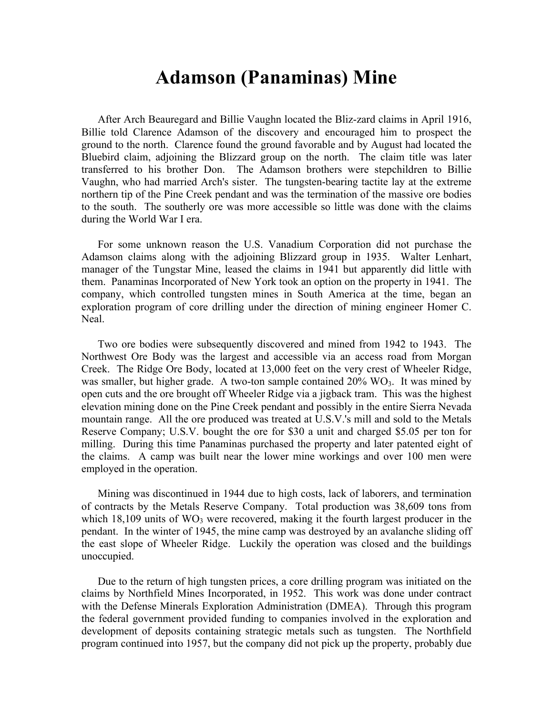## **Adamson (Panaminas) Mine**

After Arch Beauregard and Billie Vaughn located the Bliz-zard claims in April 1916, Billie told Clarence Adamson of the discovery and encouraged him to prospect the ground to the north. Clarence found the ground favorable and by August had located the Bluebird claim, adjoining the Blizzard group on the north. The claim title was later transferred to his brother Don. The Adamson brothers were stepchildren to Billie Vaughn, who had married Arch's sister. The tungsten-bearing tactite lay at the extreme northern tip of the Pine Creek pendant and was the termination of the massive ore bodies to the south. The southerly ore was more accessible so little was done with the claims during the World War I era.

For some unknown reason the U.S. Vanadium Corporation did not purchase the Adamson claims along with the adjoining Blizzard group in 1935. Walter Lenhart, manager of the Tungstar Mine, leased the claims in 1941 but apparently did little with them. Panaminas Incorporated of New York took an option on the property in 1941. The company, which controlled tungsten mines in South America at the time, began an exploration program of core drilling under the direction of mining engineer Homer C. Neal.

Two ore bodies were subsequently discovered and mined from 1942 to 1943. The Northwest Ore Body was the largest and accessible via an access road from Morgan Creek. The Ridge Ore Body, located at 13,000 feet on the very crest of Wheeler Ridge, was smaller, but higher grade. A two-ton sample contained  $20\%$  WO<sub>3</sub>. It was mined by open cuts and the ore brought off Wheeler Ridge via a jigback tram. This was the highest elevation mining done on the Pine Creek pendant and possibly in the entire Sierra Nevada mountain range. All the ore produced was treated at U.S.V.'s mill and sold to the Metals Reserve Company; U.S.V. bought the ore for \$30 a unit and charged \$5.05 per ton for milling. During this time Panaminas purchased the property and later patented eight of the claims. A camp was built near the lower mine workings and over 100 men were employed in the operation.

Mining was discontinued in 1944 due to high costs, lack of laborers, and termination of contracts by the Metals Reserve Company. Total production was 38,609 tons from which  $18,109$  units of WO<sub>3</sub> were recovered, making it the fourth largest producer in the pendant. In the winter of 1945, the mine camp was destroyed by an avalanche sliding off the east slope of Wheeler Ridge. Luckily the operation was closed and the buildings unoccupied.

Due to the return of high tungsten prices, a core drilling program was initiated on the claims by Northfield Mines Incorporated, in 1952. This work was done under contract with the Defense Minerals Exploration Administration (DMEA). Through this program the federal government provided funding to companies involved in the exploration and development of deposits containing strategic metals such as tungsten. The Northfield program continued into 1957, but the company did not pick up the property, probably due